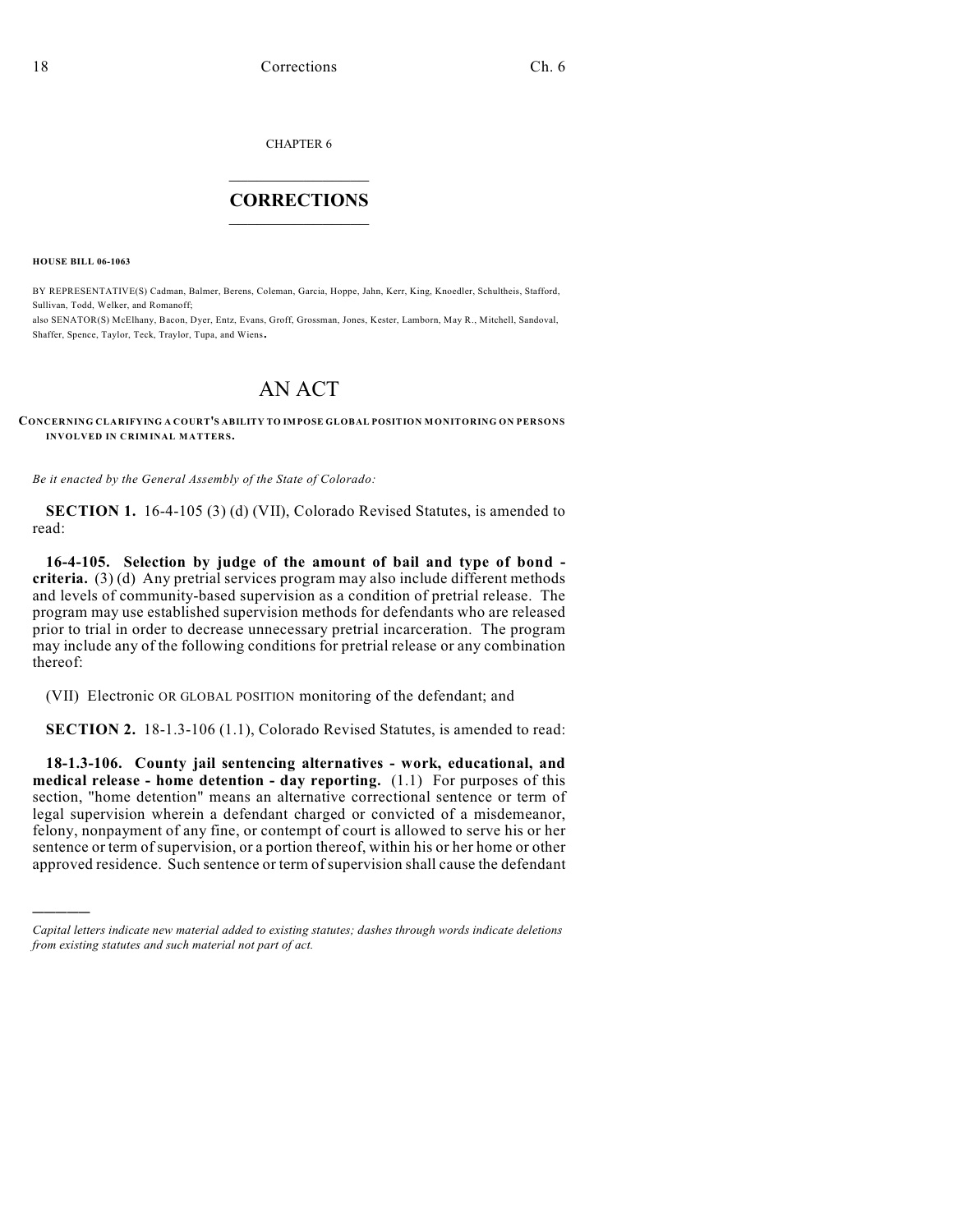CHAPTER 6

## $\overline{\phantom{a}}$  . The set of the set of the set of the set of the set of the set of the set of the set of the set of the set of the set of the set of the set of the set of the set of the set of the set of the set of the set o **CORRECTIONS**  $\frac{1}{2}$  ,  $\frac{1}{2}$  ,  $\frac{1}{2}$  ,  $\frac{1}{2}$  ,  $\frac{1}{2}$  ,  $\frac{1}{2}$

**HOUSE BILL 06-1063**

)))))

BY REPRESENTATIVE(S) Cadman, Balmer, Berens, Coleman, Garcia, Hoppe, Jahn, Kerr, King, Knoedler, Schultheis, Stafford, Sullivan, Todd, Welker, and Romanoff;

also SENATOR(S) McElhany, Bacon, Dyer, Entz, Evans, Groff, Grossman, Jones, Kester, Lamborn, May R., Mitchell, Sandoval, Shaffer, Spence, Taylor, Teck, Traylor, Tupa, and Wiens.

## AN ACT

## **CONCERNING CLARIFYING A COURT'S ABILITY TO IMPOSE GLOBAL POSITION MONITORING ON PERSONS INVOLVED IN CRIMINAL MATTERS.**

*Be it enacted by the General Assembly of the State of Colorado:*

**SECTION 1.** 16-4-105 (3) (d) (VII), Colorado Revised Statutes, is amended to read:

**16-4-105. Selection by judge of the amount of bail and type of bond criteria.** (3) (d) Any pretrial services program may also include different methods and levels of community-based supervision as a condition of pretrial release. The program may use established supervision methods for defendants who are released prior to trial in order to decrease unnecessary pretrial incarceration. The program may include any of the following conditions for pretrial release or any combination thereof:

(VII) Electronic OR GLOBAL POSITION monitoring of the defendant; and

**SECTION 2.** 18-1.3-106 (1.1), Colorado Revised Statutes, is amended to read:

**18-1.3-106. County jail sentencing alternatives - work, educational, and medical release - home detention - day reporting.** (1.1) For purposes of this section, "home detention" means an alternative correctional sentence or term of legal supervision wherein a defendant charged or convicted of a misdemeanor, felony, nonpayment of any fine, or contempt of court is allowed to serve his or her sentence or term of supervision, or a portion thereof, within his or her home or other approved residence. Such sentence or term of supervision shall cause the defendant

*Capital letters indicate new material added to existing statutes; dashes through words indicate deletions from existing statutes and such material not part of act.*